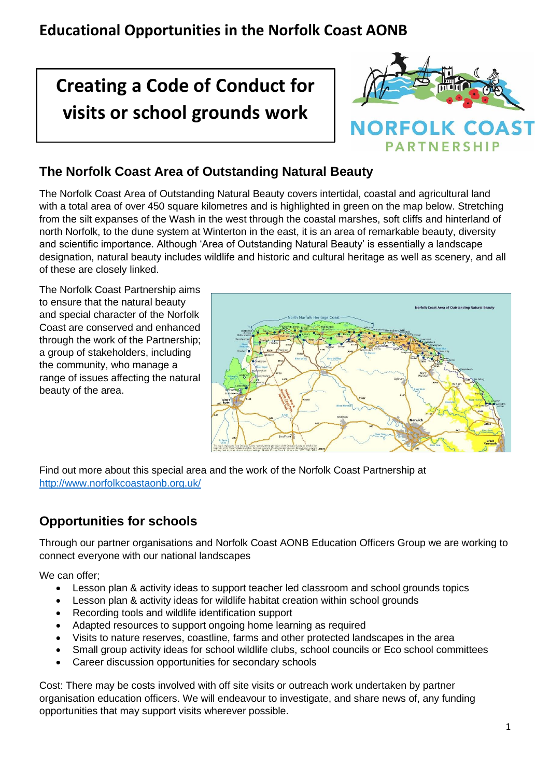## **Educational Opportunities in the Norfolk Coast AONB**

## **Creating a Code of Conduct for visits or school grounds work**



### **The Norfolk Coast Area of Outstanding Natural Beauty**

The Norfolk Coast Area of Outstanding Natural Beauty covers intertidal, coastal and agricultural land with a total area of over 450 square kilometres and is highlighted in green on the map below. Stretching from the silt expanses of the Wash in the west through the coastal marshes, soft cliffs and hinterland of north Norfolk, to the dune system at Winterton in the east, it is an area of remarkable beauty, diversity and scientific importance. Although 'Area of Outstanding Natural Beauty' is essentially a landscape designation, natural beauty includes wildlife and historic and cultural heritage as well as scenery, and all of these are closely linked.

The Norfolk Coast Partnership aims to ensure that the natural beauty and special character of the Norfolk Coast are conserved and enhanced through the work of the Partnership; a group of stakeholders, including the community, who manage a range of issues affecting the natural beauty of the area.



Find out more about this special area and the work of the Norfolk Coast Partnership at <http://www.norfolkcoastaonb.org.uk/>

### **Opportunities for schools**

Through our partner organisations and Norfolk Coast AONB Education Officers Group we are working to connect everyone with our national landscapes

We can offer:

- Lesson plan & activity ideas to support teacher led classroom and school grounds topics
- Lesson plan & activity ideas for wildlife habitat creation within school grounds
- Recording tools and wildlife identification support
- Adapted resources to support ongoing home learning as required
- Visits to nature reserves, coastline, farms and other protected landscapes in the area
- Small group activity ideas for school wildlife clubs, school councils or Eco school committees
- Career discussion opportunities for secondary schools

Cost: There may be costs involved with off site visits or outreach work undertaken by partner organisation education officers. We will endeavour to investigate, and share news of, any funding opportunities that may support visits wherever possible.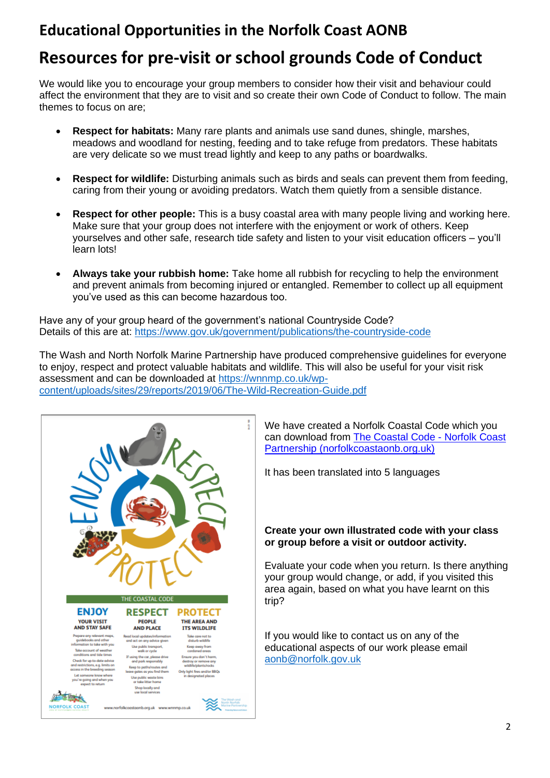## **Educational Opportunities in the Norfolk Coast AONB**

## **Resources for pre-visit or school grounds Code of Conduct**

We would like you to encourage your group members to consider how their visit and behaviour could affect the environment that they are to visit and so create their own Code of Conduct to follow. The main themes to focus on are;

- **Respect for habitats:** Many rare plants and animals use sand dunes, shingle, marshes, meadows and woodland for nesting, feeding and to take refuge from predators. These habitats are very delicate so we must tread lightly and keep to any paths or boardwalks.
- **Respect for wildlife:** Disturbing animals such as birds and seals can prevent them from feeding, caring from their young or avoiding predators. Watch them quietly from a sensible distance.
- **Respect for other people:** This is a busy coastal area with many people living and working here. Make sure that your group does not interfere with the enjoyment or work of others. Keep yourselves and other safe, research tide safety and listen to your visit education officers – you'll learn lots!
- **Always take your rubbish home:** Take home all rubbish for recycling to help the environment and prevent animals from becoming injured or entangled. Remember to collect up all equipment you've used as this can become hazardous too.

Have any of your group heard of the government's national Countryside Code? Details of this are at:<https://www.gov.uk/government/publications/the-countryside-code>

The Wash and North Norfolk Marine Partnership have produced comprehensive guidelines for everyone to enjoy, respect and protect valuable habitats and wildlife. This will also be useful for your visit risk assessment and can be downloaded at [https://wnnmp.co.uk/wp](https://wnnmp.co.uk/wp-content/uploads/sites/29/reports/2019/06/The-Wild-Recreation-Guide.pdf)[content/uploads/sites/29/reports/2019/06/The-Wild-Recreation-Guide.pdf](https://wnnmp.co.uk/wp-content/uploads/sites/29/reports/2019/06/The-Wild-Recreation-Guide.pdf)



We have created a Norfolk Coastal Code which you can download from [The Coastal Code -](https://www.norfolkcoastaonb.org.uk/exploring/coastal-code/) Norfolk Coast [Partnership \(norfolkcoastaonb.org.uk\)](https://www.norfolkcoastaonb.org.uk/exploring/coastal-code/)

It has been translated into 5 languages

#### **Create your own illustrated code with your class or group before a visit or outdoor activity.**

Evaluate your code when you return. Is there anything your group would change, or add, if you visited this area again, based on what you have learnt on this trip?

If you would like to contact us on any of the educational aspects of our work please email [aonb@norfolk.gov.uk](mailto:aonb@norfolk.gov.uk)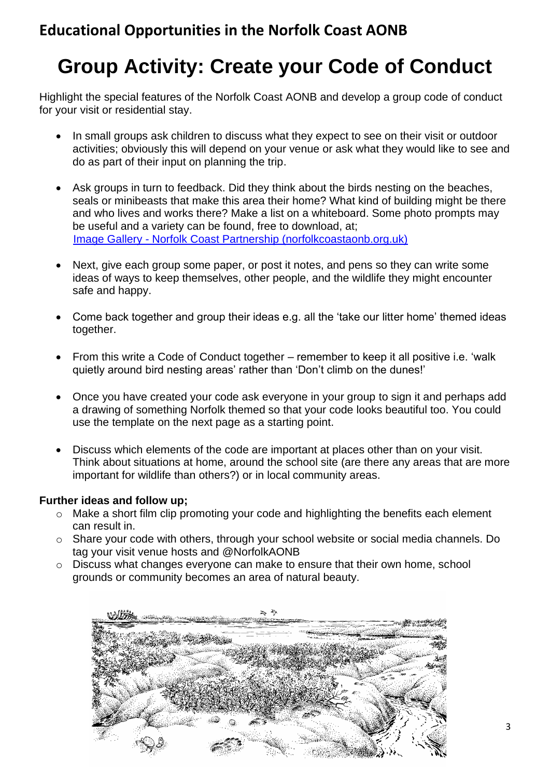# **Group Activity: Create your Code of Conduct**

Highlight the special features of the Norfolk Coast AONB and develop a group code of conduct for your visit or residential stay.

- In small groups ask children to discuss what they expect to see on their visit or outdoor activities; obviously this will depend on your venue or ask what they would like to see and do as part of their input on planning the trip.
- Ask groups in turn to feedback. Did they think about the birds nesting on the beaches, seals or minibeasts that make this area their home? What kind of building might be there and who lives and works there? Make a list on a whiteboard. Some photo prompts may be useful and a variety can be found, free to download, at; Image Gallery - [Norfolk Coast Partnership \(norfolkcoastaonb.org.uk\)](https://www.norfolkcoastaonb.org.uk/what-we-do/tourism-and-visitor-management/image-gallery/)
- Next, give each group some paper, or post it notes, and pens so they can write some ideas of ways to keep themselves, other people, and the wildlife they might encounter safe and happy.
- Come back together and group their ideas e.g. all the 'take our litter home' themed ideas together.
- From this write a Code of Conduct together remember to keep it all positive i.e. 'walk quietly around bird nesting areas' rather than 'Don't climb on the dunes!'
- Once you have created your code ask everyone in your group to sign it and perhaps add a drawing of something Norfolk themed so that your code looks beautiful too. You could use the template on the next page as a starting point.
- Discuss which elements of the code are important at places other than on your visit. Think about situations at home, around the school site (are there any areas that are more important for wildlife than others?) or in local community areas.

#### **Further ideas and follow up;**

- o Make a short film clip promoting your code and highlighting the benefits each element can result in.
- o Share your code with others, through your school website or social media channels. Do tag your visit venue hosts and @NorfolkAONB
- o Discuss what changes everyone can make to ensure that their own home, school grounds or community becomes an area of natural beauty.